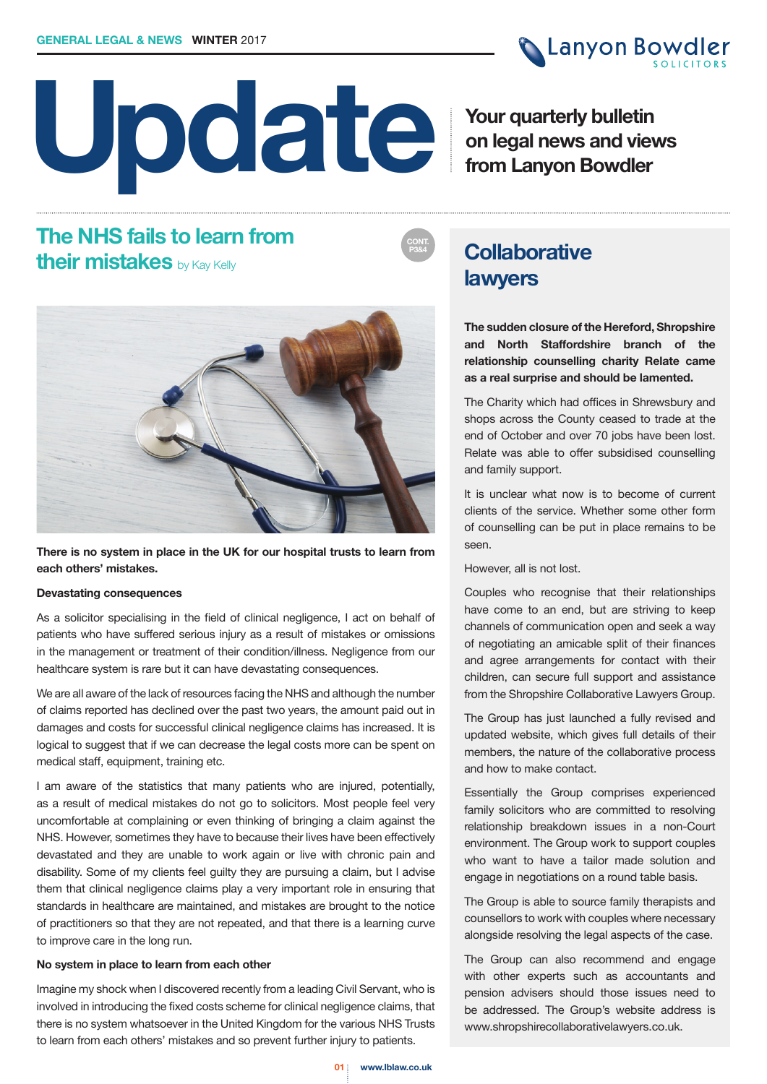# **Update**

**Canyon Bowdler** 

**Your quarterly bulletin on legal news and views from Lanyon Bowdler**

# **The NHS fails to learn from their mistakes** by Kay Kelly



**There is no system in place in the UK for our hospital trusts to learn from each others' mistakes.**

## **Devastating consequences**

As a solicitor specialising in the field of clinical negligence, I act on behalf of patients who have suffered serious injury as a result of mistakes or omissions in the management or treatment of their condition/illness. Negligence from our healthcare system is rare but it can have devastating consequences.

We are all aware of the lack of resources facing the NHS and although the number of claims reported has declined over the past two years, the amount paid out in damages and costs for successful clinical negligence claims has increased. It is logical to suggest that if we can decrease the legal costs more can be spent on medical staff, equipment, training etc.

I am aware of the statistics that many patients who are injured, potentially, as a result of medical mistakes do not go to solicitors. Most people feel very uncomfortable at complaining or even thinking of bringing a claim against the NHS. However, sometimes they have to because their lives have been effectively devastated and they are unable to work again or live with chronic pain and disability. Some of my clients feel guilty they are pursuing a claim, but I advise them that clinical negligence claims play a very important role in ensuring that standards in healthcare are maintained, and mistakes are brought to the notice of practitioners so that they are not repeated, and that there is a learning curve to improve care in the long run.

## **No system in place to learn from each other**

Imagine my shock when I discovered recently from a leading Civil Servant, who is involved in introducing the fixed costs scheme for clinical negligence claims, that there is no system whatsoever in the United Kingdom for the various NHS Trusts to learn from each others' mistakes and so prevent further injury to patients.

# **Collaborative lawyers**

**CONT. P3&4**

> **The sudden closure of the Hereford, Shropshire and North Staffordshire branch of the relationship counselling charity Relate came as a real surprise and should be lamented.**

> The Charity which had offices in Shrewsbury and shops across the County ceased to trade at the end of October and over 70 jobs have been lost. Relate was able to offer subsidised counselling and family support.

> It is unclear what now is to become of current clients of the service. Whether some other form of counselling can be put in place remains to be seen.

However, all is not lost.

Couples who recognise that their relationships have come to an end, but are striving to keep channels of communication open and seek a way of negotiating an amicable split of their finances and agree arrangements for contact with their children, can secure full support and assistance from the Shropshire Collaborative Lawyers Group.

The Group has just launched a fully revised and updated website, which gives full details of their members, the nature of the collaborative process and how to make contact.

Essentially the Group comprises experienced family solicitors who are committed to resolving relationship breakdown issues in a non-Court environment. The Group work to support couples who want to have a tailor made solution and engage in negotiations on a round table basis.

The Group is able to source family therapists and counsellors to work with couples where necessary alongside resolving the legal aspects of the case.

The Group can also recommend and engage with other experts such as accountants and pension advisers should those issues need to be addressed. The Group's website address is www.shropshirecollaborativelawyers.co.uk.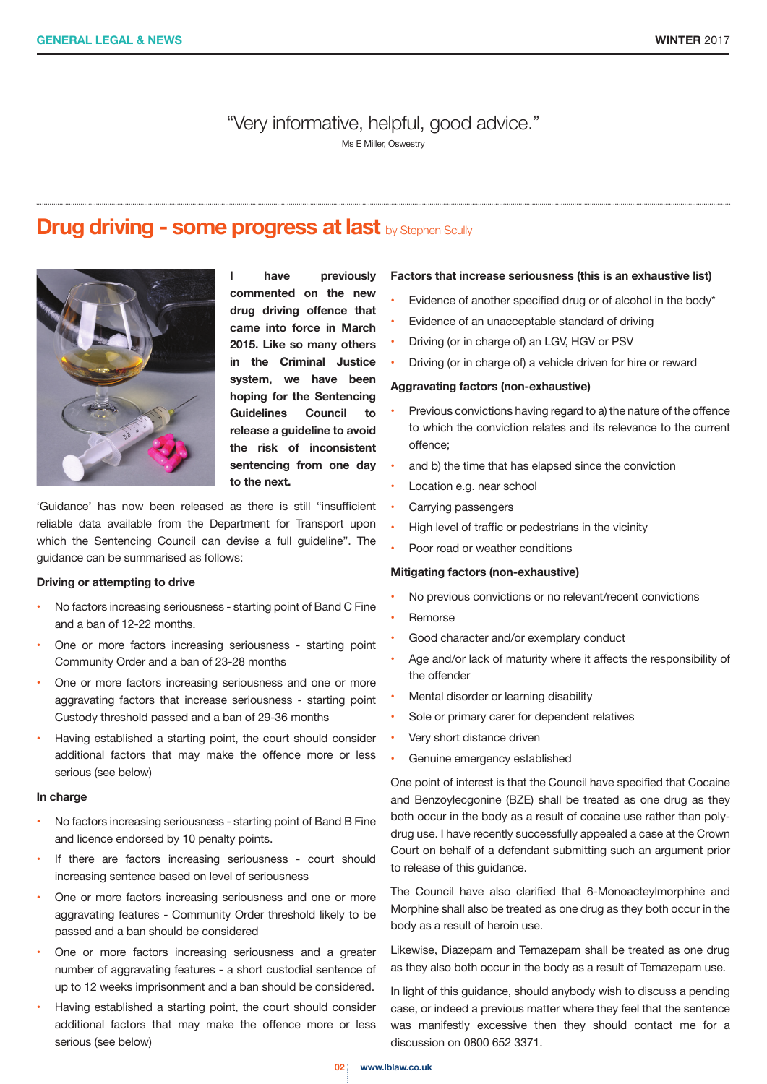"Very informative, helpful, good advice."

Ms E Miller, Oswestry

## **Drug driving - some progress at last** by Stephen Scully



**I have previously commented on the new drug driving offence that came into force in March 2015. Like so many others in the Criminal Justice system, we have been hoping for the Sentencing Guidelines Council to release a guideline to avoid the risk of inconsistent sentencing from one day to the next.**

'Guidance' has now been released as there is still "insufficient reliable data available from the Department for Transport upon which the Sentencing Council can devise a full guideline". The guidance can be summarised as follows:

## **Driving or attempting to drive**

- No factors increasing seriousness starting point of Band C Fine and a ban of 12-22 months.
- One or more factors increasing seriousness starting point Community Order and a ban of 23-28 months
- One or more factors increasing seriousness and one or more aggravating factors that increase seriousness - starting point Custody threshold passed and a ban of 29-36 months
- Having established a starting point, the court should consider additional factors that may make the offence more or less serious (see below)

#### **In charge**

- No factors increasing seriousness starting point of Band B Fine and licence endorsed by 10 penalty points.
- If there are factors increasing seriousness court should increasing sentence based on level of seriousness
- One or more factors increasing seriousness and one or more aggravating features - Community Order threshold likely to be passed and a ban should be considered
- One or more factors increasing seriousness and a greater number of aggravating features - a short custodial sentence of up to 12 weeks imprisonment and a ban should be considered.
- Having established a starting point, the court should consider additional factors that may make the offence more or less serious (see below)

#### **Factors that increase seriousness (this is an exhaustive list)**

- Evidence of another specified drug or of alcohol in the body\*
- Evidence of an unacceptable standard of driving
- Driving (or in charge of) an LGV, HGV or PSV
- Driving (or in charge of) a vehicle driven for hire or reward

## **Aggravating factors (non-exhaustive)**

- Previous convictions having regard to a) the nature of the offence to which the conviction relates and its relevance to the current offence;
- and b) the time that has elapsed since the conviction
- Location e.g. near school
- Carrying passengers
- High level of traffic or pedestrians in the vicinity
- Poor road or weather conditions

## **Mitigating factors (non-exhaustive)**

- No previous convictions or no relevant/recent convictions
- **Remorse**
- Good character and/or exemplary conduct
- Age and/or lack of maturity where it affects the responsibility of the offender
- Mental disorder or learning disability
- Sole or primary carer for dependent relatives
- Very short distance driven
- Genuine emergency established

One point of interest is that the Council have specified that Cocaine and Benzoylecgonine (BZE) shall be treated as one drug as they both occur in the body as a result of cocaine use rather than polydrug use. I have recently successfully appealed a case at the Crown Court on behalf of a defendant submitting such an argument prior to release of this guidance.

The Council have also clarified that 6-Monoacteylmorphine and Morphine shall also be treated as one drug as they both occur in the body as a result of heroin use.

Likewise, Diazepam and Temazepam shall be treated as one drug as they also both occur in the body as a result of Temazepam use.

In light of this guidance, should anybody wish to discuss a pending case, or indeed a previous matter where they feel that the sentence was manifestly excessive then they should contact me for a discussion on 0800 652 3371.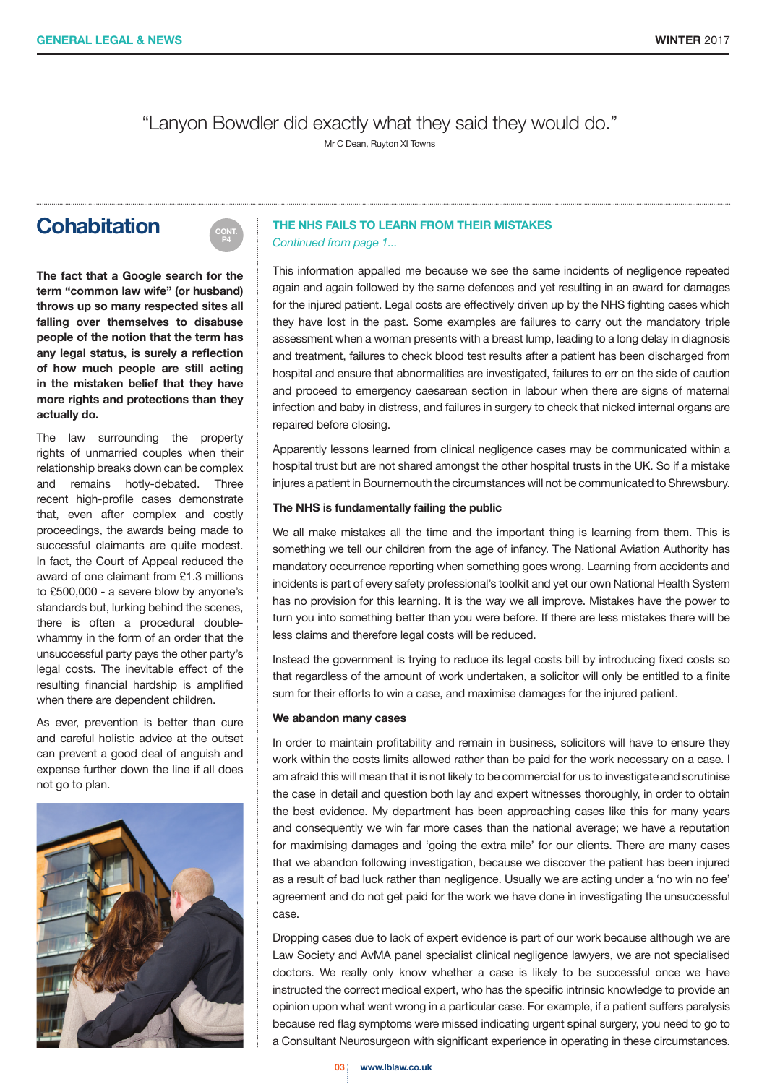"Lanyon Bowdler did exactly what they said they would do."

Mr C Dean, Ruyton XI Towns

## **Cohabitation**



**The fact that a Google search for the term "common law wife" (or husband) throws up so many respected sites all falling over themselves to disabuse people of the notion that the term has any legal status, is surely a reflection of how much people are still acting in the mistaken belief that they have more rights and protections than they actually do.**

The law surrounding the property rights of unmarried couples when their relationship breaks down can be complex and remains hotly-debated. Three recent high-profile cases demonstrate that, even after complex and costly proceedings, the awards being made to successful claimants are quite modest. In fact, the Court of Appeal reduced the award of one claimant from £1.3 millions to £500,000 - a severe blow by anyone's standards but, lurking behind the scenes, there is often a procedural doublewhammy in the form of an order that the unsuccessful party pays the other party's legal costs. The inevitable effect of the resulting financial hardship is amplified when there are dependent children.

As ever, prevention is better than cure and careful holistic advice at the outset can prevent a good deal of anguish and expense further down the line if all does not go to plan.



## **THE NHS FAILS TO LEARN FROM THEIR MISTAKES**

*Continued from page 1...*

This information appalled me because we see the same incidents of negligence repeated again and again followed by the same defences and yet resulting in an award for damages for the injured patient. Legal costs are effectively driven up by the NHS fighting cases which they have lost in the past. Some examples are failures to carry out the mandatory triple assessment when a woman presents with a breast lump, leading to a long delay in diagnosis and treatment, failures to check blood test results after a patient has been discharged from hospital and ensure that abnormalities are investigated, failures to err on the side of caution and proceed to emergency caesarean section in labour when there are signs of maternal infection and baby in distress, and failures in surgery to check that nicked internal organs are repaired before closing.

Apparently lessons learned from clinical negligence cases may be communicated within a hospital trust but are not shared amongst the other hospital trusts in the UK. So if a mistake injures a patient in Bournemouth the circumstances will not be communicated to Shrewsbury.

#### **The NHS is fundamentally failing the public**

We all make mistakes all the time and the important thing is learning from them. This is something we tell our children from the age of infancy. The National Aviation Authority has mandatory occurrence reporting when something goes wrong. Learning from accidents and incidents is part of every safety professional's toolkit and yet our own National Health System has no provision for this learning. It is the way we all improve. Mistakes have the power to turn you into something better than you were before. If there are less mistakes there will be less claims and therefore legal costs will be reduced.

Instead the government is trying to reduce its legal costs bill by introducing fixed costs so that regardless of the amount of work undertaken, a solicitor will only be entitled to a finite sum for their efforts to win a case, and maximise damages for the injured patient.

#### **We abandon many cases**

In order to maintain profitability and remain in business, solicitors will have to ensure they work within the costs limits allowed rather than be paid for the work necessary on a case. I am afraid this will mean that it is not likely to be commercial for us to investigate and scrutinise the case in detail and question both lay and expert witnesses thoroughly, in order to obtain the best evidence. My department has been approaching cases like this for many years and consequently we win far more cases than the national average; we have a reputation for maximising damages and 'going the extra mile' for our clients. There are many cases that we abandon following investigation, because we discover the patient has been injured as a result of bad luck rather than negligence. Usually we are acting under a 'no win no fee' agreement and do not get paid for the work we have done in investigating the unsuccessful case.

Dropping cases due to lack of expert evidence is part of our work because although we are Law Society and AvMA panel specialist clinical negligence lawyers, we are not specialised doctors. We really only know whether a case is likely to be successful once we have instructed the correct medical expert, who has the specific intrinsic knowledge to provide an opinion upon what went wrong in a particular case. For example, if a patient suffers paralysis because red flag symptoms were missed indicating urgent spinal surgery, you need to go to a Consultant Neurosurgeon with significant experience in operating in these circumstances.